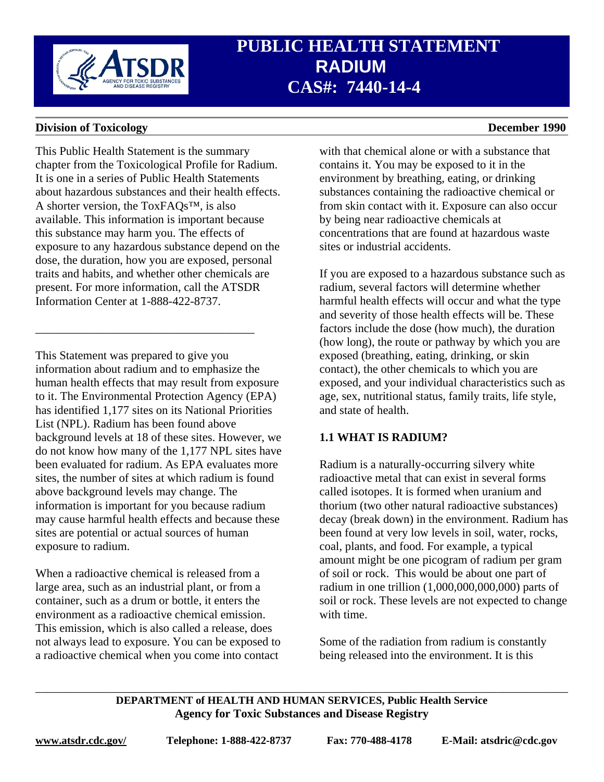

### **Division of Toxicology December 1990**

This Public Health Statement is the summary chapter from the Toxicological Profile for Radium. It is one in a series of Public Health Statements about hazardous substances and their health effects. A shorter version, the ToxFAQs™, is also available. This information is important because this substance may harm you. The effects of exposure to any hazardous substance depend on the dose, the duration, how you are exposed, personal traits and habits, and whether other chemicals are present. For more information, call the ATSDR Information Center at 1-888-422-8737.

\_\_\_\_\_\_\_\_\_\_\_\_\_\_\_\_\_\_\_\_\_\_\_\_\_\_\_\_\_\_\_\_\_\_\_\_\_

This Statement was prepared to give you information about radium and to emphasize the human health effects that may result from exposure to it. The Environmental Protection Agency (EPA) has identified 1,177 sites on its National Priorities List (NPL). Radium has been found above background levels at 18 of these sites. However, we do not know how many of the 1,177 NPL sites have been evaluated for radium. As EPA evaluates more sites, the number of sites at which radium is found above background levels may change. The information is important for you because radium may cause harmful health effects and because these sites are potential or actual sources of human exposure to radium.

When a radioactive chemical is released from a large area, such as an industrial plant, or from a container, such as a drum or bottle, it enters the environment as a radioactive chemical emission. This emission, which is also called a release, does not always lead to exposure. You can be exposed to a radioactive chemical when you come into contact

with that chemical alone or with a substance that contains it. You may be exposed to it in the environment by breathing, eating, or drinking substances containing the radioactive chemical or from skin contact with it. Exposure can also occur by being near radioactive chemicals at concentrations that are found at hazardous waste sites or industrial accidents.

If you are exposed to a hazardous substance such as radium, several factors will determine whether harmful health effects will occur and what the type and severity of those health effects will be. These factors include the dose (how much), the duration (how long), the route or pathway by which you are exposed (breathing, eating, drinking, or skin contact), the other chemicals to which you are exposed, and your individual characteristics such as age, sex, nutritional status, family traits, life style, and state of health.

## **1.1 WHAT IS RADIUM?**

Radium is a naturally-occurring silvery white radioactive metal that can exist in several forms called isotopes. It is formed when uranium and thorium (two other natural radioactive substances) decay (break down) in the environment. Radium has been found at very low levels in soil, water, rocks, coal, plants, and food. For example, a typical amount might be one picogram of radium per gram of soil or rock. This would be about one part of radium in one trillion (1,000,000,000,000) parts of soil or rock. These levels are not expected to change with time.

Some of the radiation from radium is constantly being released into the environment. It is this

\_\_\_\_\_\_\_\_\_\_\_\_\_\_\_\_\_\_\_\_\_\_\_\_\_\_\_\_\_\_\_\_\_\_\_\_\_\_\_\_\_\_\_\_\_\_\_\_\_\_\_\_\_\_\_\_\_\_\_\_\_\_\_\_\_\_\_\_\_\_\_\_\_\_\_\_\_\_\_\_\_\_\_\_\_\_\_\_\_\_ **DEPARTMENT of HEALTH AND HUMAN SERVICES, Public Health Service Agency for Toxic Substances and Disease Registry** 

| /www.atsdr.cdc.gov | Telephone: 1-888-422-8737 | Fax: 770-488-4178 | E-Mail: atsdric@cdc.gov |
|--------------------|---------------------------|-------------------|-------------------------|
|--------------------|---------------------------|-------------------|-------------------------|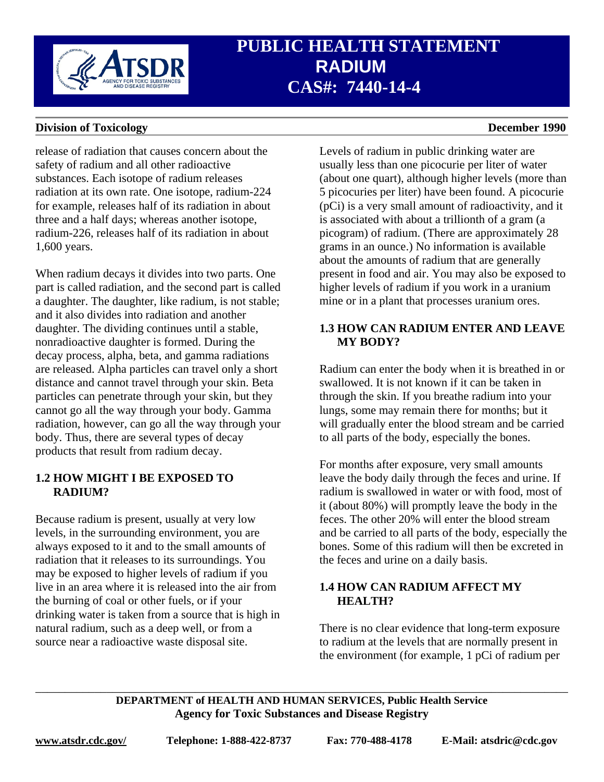

#### **Division of Toxicology December 1990**

release of radiation that causes concern about the safety of radium and all other radioactive substances. Each isotope of radium releases radiation at its own rate. One isotope, radium-224 for example, releases half of its radiation in about three and a half days; whereas another isotope, radium-226, releases half of its radiation in about 1,600 years.

When radium decays it divides into two parts. One part is called radiation, and the second part is called a daughter. The daughter, like radium, is not stable; and it also divides into radiation and another daughter. The dividing continues until a stable, nonradioactive daughter is formed. During the decay process, alpha, beta, and gamma radiations are released. Alpha particles can travel only a short distance and cannot travel through your skin. Beta particles can penetrate through your skin, but they cannot go all the way through your body. Gamma radiation, however, can go all the way through your body. Thus, there are several types of decay products that result from radium decay.

## **1.2 HOW MIGHT I BE EXPOSED TO RADIUM?**

Because radium is present, usually at very low levels, in the surrounding environment, you are always exposed to it and to the small amounts of radiation that it releases to its surroundings. You may be exposed to higher levels of radium if you live in an area where it is released into the air from the burning of coal or other fuels, or if your drinking water is taken from a source that is high in natural radium, such as a deep well, or from a source near a radioactive waste disposal site.

Levels of radium in public drinking water are usually less than one picocurie per liter of water (about one quart), although higher levels (more than 5 picocuries per liter) have been found. A picocurie (pCi) is a very small amount of radioactivity, and it is associated with about a trillionth of a gram (a picogram) of radium. (There are approximately 28 grams in an ounce.) No information is available about the amounts of radium that are generally present in food and air. You may also be exposed to higher levels of radium if you work in a uranium mine or in a plant that processes uranium ores.

## **1.3 HOW CAN RADIUM ENTER AND LEAVE MY BODY?**

Radium can enter the body when it is breathed in or swallowed. It is not known if it can be taken in through the skin. If you breathe radium into your lungs, some may remain there for months; but it will gradually enter the blood stream and be carried to all parts of the body, especially the bones.

For months after exposure, very small amounts leave the body daily through the feces and urine. If radium is swallowed in water or with food, most of it (about 80%) will promptly leave the body in the feces. The other 20% will enter the blood stream and be carried to all parts of the body, especially the bones. Some of this radium will then be excreted in the feces and urine on a daily basis.

## **1.4 HOW CAN RADIUM AFFECT MY HEALTH?**

There is no clear evidence that long-term exposure to radium at the levels that are normally present in the environment (for example, 1 pCi of radium per

\_\_\_\_\_\_\_\_\_\_\_\_\_\_\_\_\_\_\_\_\_\_\_\_\_\_\_\_\_\_\_\_\_\_\_\_\_\_\_\_\_\_\_\_\_\_\_\_\_\_\_\_\_\_\_\_\_\_\_\_\_\_\_\_\_\_\_\_\_\_\_\_\_\_\_\_\_\_\_\_\_\_\_\_\_\_\_\_\_\_ **DEPARTMENT of HEALTH AND HUMAN SERVICES, Public Health Service Agency for Toxic Substances and Disease Registry** 

**www.atsdr.cdc.gov/ Telephone: 1-888-422-8737 Fax: 770-488-4178 E-Mail: atsdric@cdc.gov**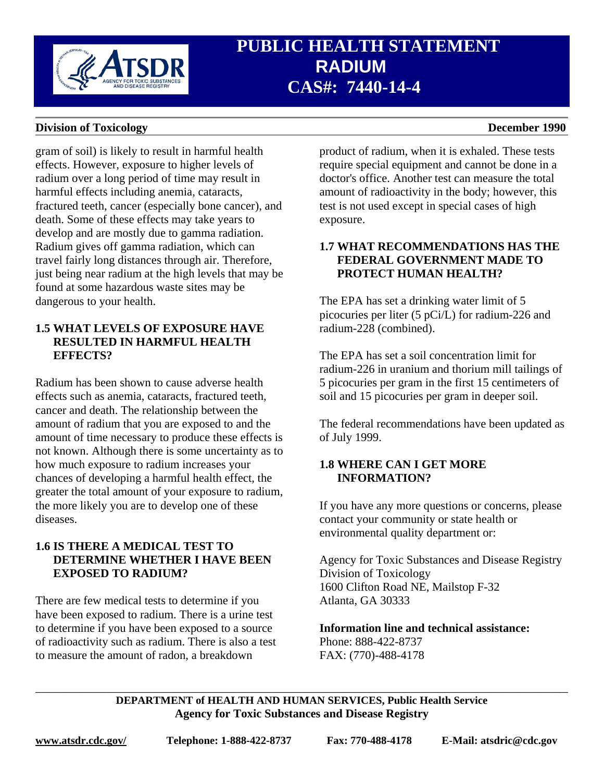

### **Division of Toxicology December 1990**

gram of soil) is likely to result in harmful health effects. However, exposure to higher levels of radium over a long period of time may result in harmful effects including anemia, cataracts, fractured teeth, cancer (especially bone cancer), and death. Some of these effects may take years to develop and are mostly due to gamma radiation. Radium gives off gamma radiation, which can travel fairly long distances through air. Therefore, just being near radium at the high levels that may be found at some hazardous waste sites may be dangerous to your health.

## **EFFECTS? 1.5 WHAT LEVELS OF EXPOSURE HAVE RESULTED IN HARMFUL HEALTH**

Radium has been shown to cause adverse health effects such as anemia, cataracts, fractured teeth, cancer and death. The relationship between the amount of radium that you are exposed to and the amount of time necessary to produce these effects is not known. Although there is some uncertainty as to how much exposure to radium increases your chances of developing a harmful health effect, the greater the total amount of your exposure to radium, the more likely you are to develop one of these diseases.

## **1.6 IS THERE A MEDICAL TEST TO DETERMINE WHETHER I HAVE BEEN EXPOSED TO RADIUM?**

There are few medical tests to determine if you have been exposed to radium. There is a urine test to determine if you have been exposed to a source of radioactivity such as radium. There is also a test to measure the amount of radon, a breakdown

product of radium, when it is exhaled. These tests require special equipment and cannot be done in a doctor's office. Another test can measure the total amount of radioactivity in the body; however, this test is not used except in special cases of high exposure.

## **1.7 WHAT RECOMMENDATIONS HAS THE FEDERAL GOVERNMENT MADE TO PROTECT HUMAN HEALTH?**

The EPA has set a drinking water limit of 5 picocuries per liter (5 pCi/L) for radium-226 and radium-228 (combined).

The EPA has set a soil concentration limit for radium-226 in uranium and thorium mill tailings of 5 picocuries per gram in the first 15 centimeters of soil and 15 picocuries per gram in deeper soil.

The federal recommendations have been updated as of July 1999.

## **1.8 WHERE CAN I GET MORE INFORMATION?**

If you have any more questions or concerns, please contact your community or state health or environmental quality department or:

Agency for Toxic Substances and Disease Registry Division of Toxicology 1600 Clifton Road NE, Mailstop F-32 Atlanta, GA 30333

#### **Information line and technical assistance:**  Phone: 888-422-8737 FAX: (770)-488-4178

\_\_\_\_\_\_\_\_\_\_\_\_\_\_\_\_\_\_\_\_\_\_\_\_\_\_\_\_\_\_\_\_\_\_\_\_\_\_\_\_\_\_\_\_\_\_\_\_\_\_\_\_\_\_\_\_\_\_\_\_\_\_\_\_\_\_\_\_\_\_\_\_\_\_\_\_\_\_\_\_\_\_\_\_\_\_\_\_\_\_ **DEPARTMENT of HEALTH AND HUMAN SERVICES, Public Health Service Agency for Toxic Substances and Disease Registry** 

www.atsdr.cdc.gov/

**www.atsdr.cdc.gov/ Telephone: 1-888-422-8737 Fax: 770-488-4178 E-Mail: atsdric@cdc.gov**